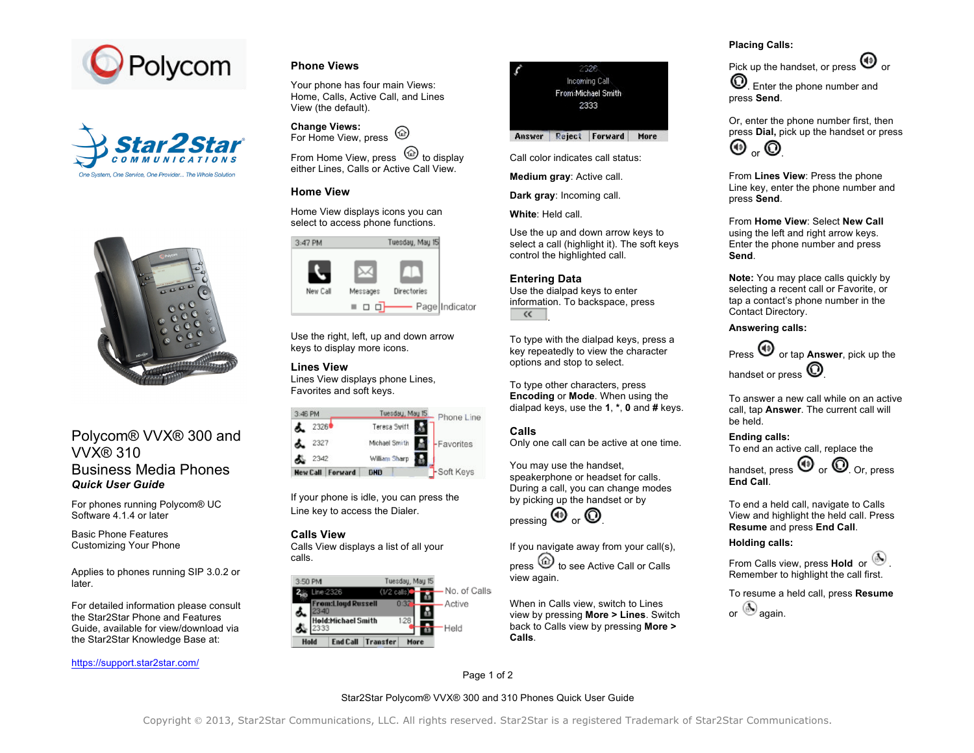





# Polycom® VVX® 300 and VVX® 310 Business Media Phones *Quick User Guide*

For phones running Polycom® UC Software 4.1.4 or later

Basic Phone Features Customizing Your Phone

Applies to phones running SIP 3.0.2 or later.

For detailed information please consult the Star2Star Phone and Features Guide, available for view/download via the Star2Star Knowledge Base at:

#### https://support.star2star.com/

# **Phone Views**

Your phone has four main Views: Home, Calls, Active Call, and Lines View (the default).

**Change Views:** For Home View, press (a)

From Home View, press  $\mathbb{U}$  to display either Lines, Calls or Active Call View.

# **Home View**

Home View displays icons you can select to access phone functions.



Use the right, left, up and down arrow keys to display more icons.

# **Lines View**

Lines View displays phone Lines, Favorites and soft keys.

| $3:46$ PM       |         | Tuesdau, Mau 15 | Phone Line |
|-----------------|---------|-----------------|------------|
| 2326            |         | Teresa Swift    |            |
| 2327            |         | Michael Smith   | -Favorites |
| 2342            |         | William Sharp   |            |
| <b>New Call</b> | Forward | <b>DHD</b>      | -Soft Keys |

If your phone is idle, you can press the Line key to access the Dialer.

#### **Calls View**

Calls View displays a list of all your calls.





Call color indicates call status:

**Medium gray**: Active call.

**Dark gray**: Incoming call.

**White**: Held call.

Use the up and down arrow keys to select a call (highlight it). The soft keys control the highlighted call.

#### **Entering Data**

Use the dialpad keys to enter information. To backspace, press  $\overline{\left( 1\right) 1}$ .

To type with the dialpad keys, press a key repeatedly to view the character options and stop to select.

To type other characters, press **Encoding** or **Mode**. When using the dialpad keys, use the **1**, **\***, **0** and **#** keys. Ĭ

#### **Calls**

Only one call can be active at one time.

You may use the handset, speakerphone or headset for calls. During a call, you can change modes by picking up the handset or by



If you navigate away from your call(s),

press  $\circledcirc$  to see Active Call or Calls view again.

When in Calls view, switch to Lines view by pressing **More > Lines**. Switch back to Calls view by pressing **More > Calls**.

## **Placing Calls:**

Pick up the handset, or press  $\bigcirc$  or

. Enter the phone number and press **Send**.

Or, enter the phone number first, then press **Dial,** pick up the handset or press  $\mathbf{\Theta}_{\alpha}$   $\mathbf{\Theta}$ 

From **Lines View**: Press the phone Line key, enter the phone number and press **Send**.

From **Home View**: Select **New Call**  using the left and right arrow keys. Enter the phone number and press **Send**.

**Note:** You may place calls quickly by selecting a recent call or Favorite, or tap a contact's phone number in the Contact Directory.

**Answering calls:**

Press  $\bigcirc$  or tap **Answer**, pick up the handset or press  $\mathbf{\mathbb{O}}$ 

To answer a new call while on an active call, tap **Answer**. The current call will be held.

**Ending calls:** To end an active call, replace the

handset, press  $\mathbf{\Theta}$  or  $\mathbf{\mathbf{\odot}}$  Or, press **End Call**.

To end a held call, navigate to Calls View and highlight the held call. Press **Resume** and press **End Call**.

## **Holding calls:**

From Calls view, press **Hold** or  $\ddot{\bullet}$ Remember to highlight the call first.

To resume a held call, press **Resume**

or  $\bigcirc$  again.

Page 1 of 2

Star2Star Polycom® VVX® 300 and 310 Phones Quick User Guide